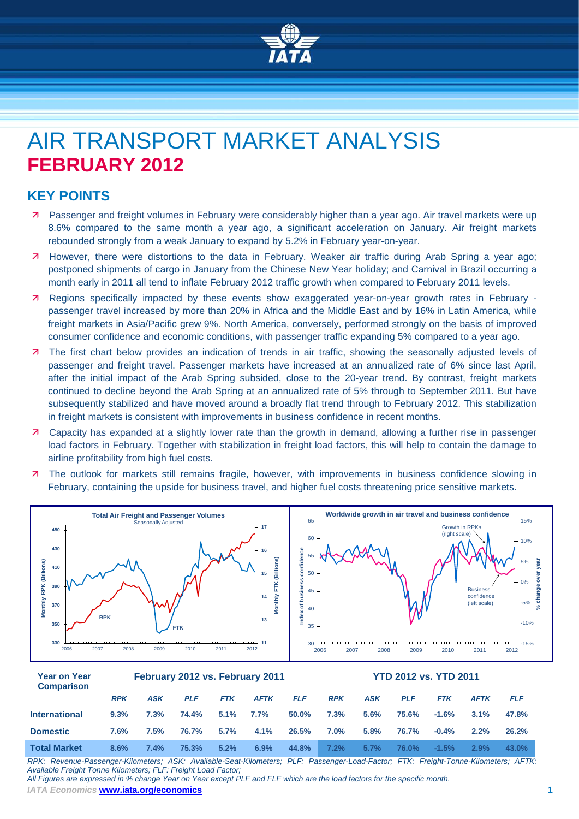

# AIR TRANSPORT MARKET ANALYSIS **FEBRUARY 2012**

## **KEY POINTS**

- Passenger and freight volumes in February were considerably higher than a year ago. Air travel markets were up 8.6% compared to the same month a year ago, a significant acceleration on January. Air freight markets rebounded strongly from a weak January to expand by 5.2% in February year-on-year.
- However, there were distortions to the data in February. Weaker air traffic during Arab Spring a year ago; postponed shipments of cargo in January from the Chinese New Year holiday; and Carnival in Brazil occurring a month early in 2011 all tend to inflate February 2012 traffic growth when compared to February 2011 levels.
- Regions specifically impacted by these events show exaggerated year-on-year growth rates in February passenger travel increased by more than 20% in Africa and the Middle East and by 16% in Latin America, while freight markets in Asia/Pacific grew 9%. North America, conversely, performed strongly on the basis of improved consumer confidence and economic conditions, with passenger traffic expanding 5% compared to a year ago.
- The first chart below provides an indication of trends in air traffic, showing the seasonally adjusted levels of passenger and freight travel. Passenger markets have increased at an annualized rate of 6% since last April, after the initial impact of the Arab Spring subsided, close to the 20-year trend. By contrast, freight markets continued to decline beyond the Arab Spring at an annualized rate of 5% through to September 2011. But have subsequently stabilized and have moved around a broadly flat trend through to February 2012. This stabilization in freight markets is consistent with improvements in business confidence in recent months.
- Capacity has expanded at a slightly lower rate than the growth in demand, allowing a further rise in passenger load factors in February. Together with stabilization in freight load factors, this will help to contain the damage to airline profitability from high fuel costs.
- **7** The outlook for markets still remains fragile, however, with improvements in business confidence slowing in February, containing the upside for business travel, and higher fuel costs threatening price sensitive markets.



| Year on Year<br><b>Comparison</b> | February 2012 vs. February 2011 |            |            |            |             |            | <b>YTD 2012 vs. YTD 2011</b> |            |            |            |             |            |  |
|-----------------------------------|---------------------------------|------------|------------|------------|-------------|------------|------------------------------|------------|------------|------------|-------------|------------|--|
|                                   | <b>RPK</b>                      | <b>ASK</b> | <b>PLF</b> | <b>FTK</b> | <b>AFTK</b> | <b>FLF</b> | <b>RPK</b>                   | <b>ASK</b> | <b>PLF</b> | <b>FTK</b> | <b>AFTK</b> | <b>FLF</b> |  |
| <b>International</b>              | 9.3%                            | 7.3%       | 74.4%      | 5.1%       | 7.7%        | 50.0%      | 7.3%                         | 5.6%       | 75.6%      | $-1.6%$    | $3.1\%$     | 47.8%      |  |
| <b>Domestic</b>                   | 7.6%                            | 7.5%       | 76.7%      | 5.7%       | 4.1%        | 26.5%      | 7.0%                         | 5.8%       | 76.7%      | $-0.4%$    | 2.2%        | 26.2%      |  |
| <b>Total Market</b>               | 8.6%                            | 7.4%       | 75.3%      | 5.2%       | 6.9%        | 44.8%      | 7.2%                         | 5.7%       | 76.0%      | $-1.5%$    | 2.9%        | 43.0%      |  |

*RPK: Revenue-Passenger-Kilometers; ASK: Available-Seat-Kilometers; PLF: Passenger-Load-Factor; FTK: Freight-Tonne-Kilometers; AFTK: Available Freight Tonne Kilometers; FLF: Freight Load Factor;* 

*All Figures are expressed in % change Year on Year except PLF and FLF which are the load factors for the specific month.*

*IATA Economics* **[www.iata.org/economics](http://www.iata.org/economics) 1**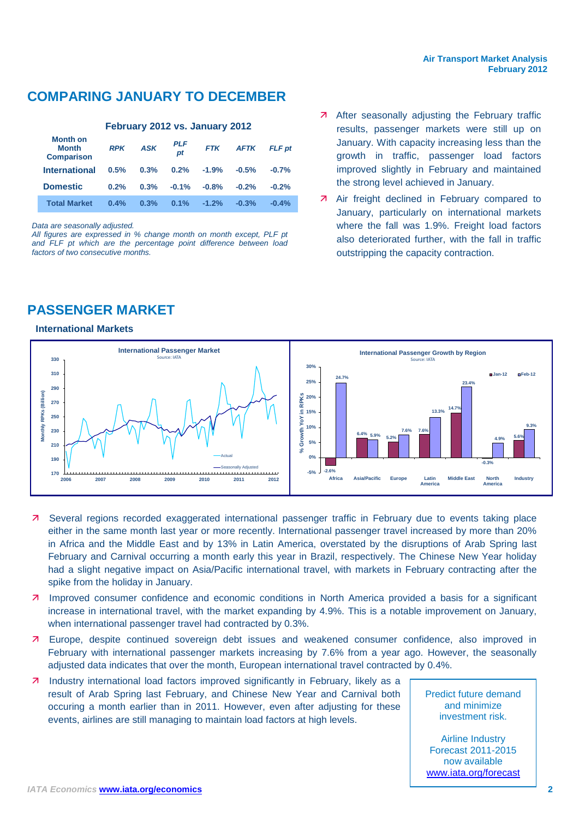# **COMPARING JANUARY TO DECEMBER**

#### **February 2012 vs. January 2012**

| Month on<br>Month<br><b>Comparison</b> | <b>RPK</b> | <b>ASK</b> | <b>PLF</b><br>pt | <b>FTK</b> | <b>AFTK</b> | <b>FLF</b> pt |
|----------------------------------------|------------|------------|------------------|------------|-------------|---------------|
| <b>International</b>                   | 0.5%       | 0.3%       | 0.2%             | $-1.9%$    | $-0.5%$     | $-0.7%$       |
| <b>Domestic</b>                        | 0.2%       | 0.3%       | $-0.1%$          | $-0.8%$    | $-0.2%$     | $-0.2%$       |
| <b>Total Market</b>                    | 0.4%       | 0.3%       | 0.1%             | $-1.2%$    | $-0.3%$     | $-0.4%$       |

*Data are seasonally adjusted.*

*All figures are expressed in % change month on month except, PLF pt and FLF pt which are the percentage point difference between load factors of two consecutive months.*

# **PASSENGER MARKET**

#### **International Markets**

- **A** After seasonally adjusting the February traffic results, passenger markets were still up on January. With capacity increasing less than the growth in traffic, passenger load factors improved slightly in February and maintained the strong level achieved in January.
- **A** Air freight declined in February compared to January, particularly on international markets where the fall was 1.9%. Freight load factors also deteriorated further, with the fall in traffic outstripping the capacity contraction.



- Several regions recorded exaggerated international passenger traffic in February due to events taking place either in the same month last year or more recently. International passenger travel increased by more than 20% in Africa and the Middle East and by 13% in Latin America, overstated by the disruptions of Arab Spring last February and Carnival occurring a month early this year in Brazil, respectively. The Chinese New Year holiday had a slight negative impact on Asia/Pacific international travel, with markets in February contracting after the spike from the holiday in January.
- **7** Improved consumer confidence and economic conditions in North America provided a basis for a significant increase in international travel, with the market expanding by 4.9%. This is a notable improvement on January, when international passenger travel had contracted by 0.3%.
- Europe, despite continued sovereign debt issues and weakened consumer confidence, also improved in February with international passenger markets increasing by 7.6% from a year ago. However, the seasonally adjusted data indicates that over the month, European international travel contracted by 0.4%.
- **7** Industry international load factors improved significantly in February, likely as a result of Arab Spring last February, and Chinese New Year and Carnival both occuring a month earlier than in 2011. However, even after adjusting for these events, airlines are still managing to maintain load factors at high levels.

Predict future demand and minimize investment risk.

Airline Industry Forecast 2011-2015 now available [www.iata.org/forecast](http://www.iata.org/forecast)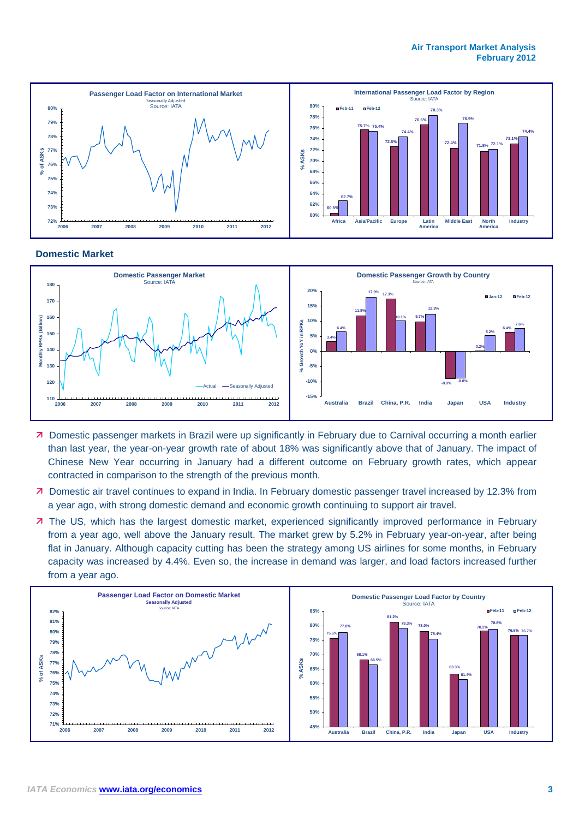#### **Air Transport Market Analysis February 2012**



#### **Domestic Market**



- Domestic passenger markets in Brazil were up significantly in February due to Carnival occurring a month earlier than last year, the year-on-year growth rate of about 18% was significantly above that of January. The impact of Chinese New Year occurring in January had a different outcome on February growth rates, which appear contracted in comparison to the strength of the previous month.
- Domestic air travel continues to expand in India. In February domestic passenger travel increased by 12.3% from a year ago, with strong domestic demand and economic growth continuing to support air travel.
- **7** The US, which has the largest domestic market, experienced significantly improved performance in February from a year ago, well above the January result. The market grew by 5.2% in February year-on-year, after being flat in January. Although capacity cutting has been the strategy among US airlines for some months, in February capacity was increased by 4.4%. Even so, the increase in demand was larger, and load factors increased further from a year ago.

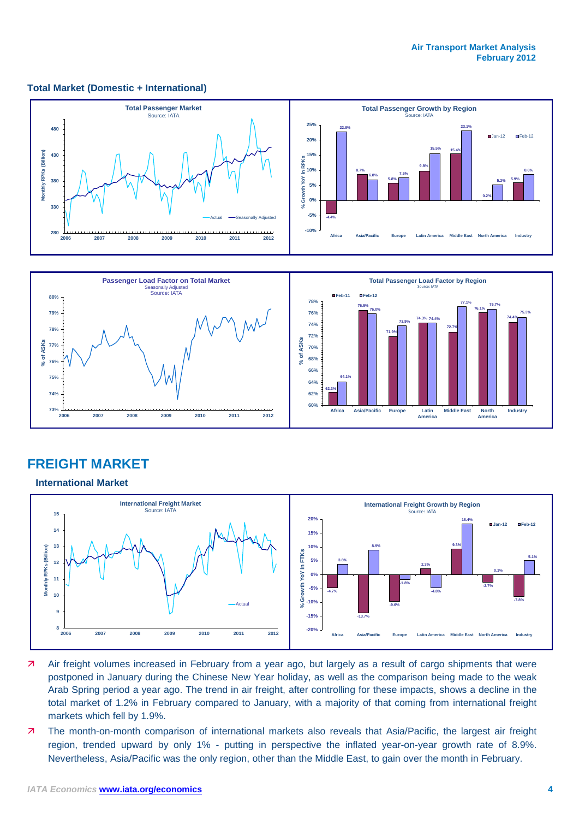#### **Total Market (Domestic + International)**





## **FREIGHT MARKET**

#### **International Market**



- Air freight volumes increased in February from a year ago, but largely as a result of cargo shipments that were postponed in January during the Chinese New Year holiday, as well as the comparison being made to the weak Arab Spring period a year ago. The trend in air freight, after controlling for these impacts, shows a decline in the total market of 1.2% in February compared to January, with a majority of that coming from international freight markets which fell by 1.9%.
- The month-on-month comparison of international markets also reveals that Asia/Pacific, the largest air freight region, trended upward by only 1% - putting in perspective the inflated year-on-year growth rate of 8.9%. Nevertheless, Asia/Pacific was the only region, other than the Middle East, to gain over the month in February.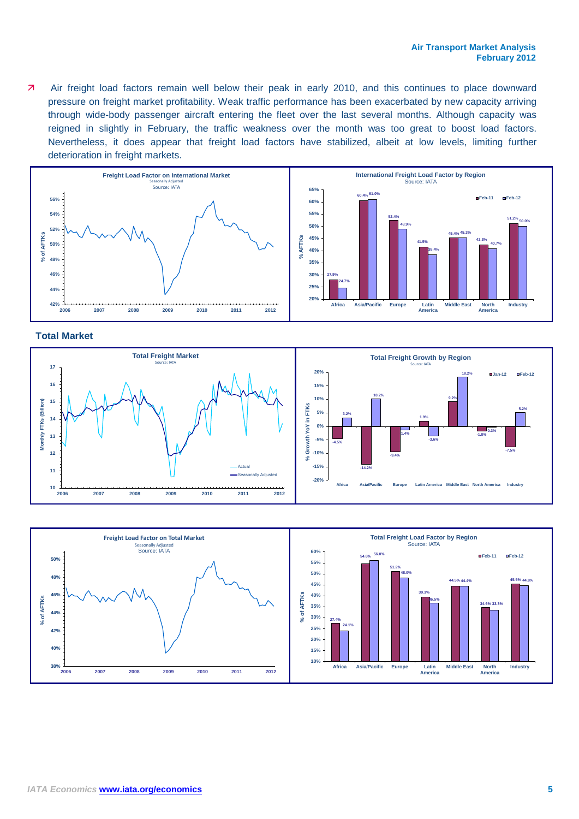Air freight load factors remain well below their peak in early 2010, and this continues to place downward pressure on freight market profitability. Weak traffic performance has been exacerbated by new capacity arriving through wide-body passenger aircraft entering the fleet over the last several months. Although capacity was reigned in slightly in February, the traffic weakness over the month was too great to boost load factors. Nevertheless, it does appear that freight load factors have stabilized, albeit at low levels, limiting further deterioration in freight markets.



#### **Total Market**



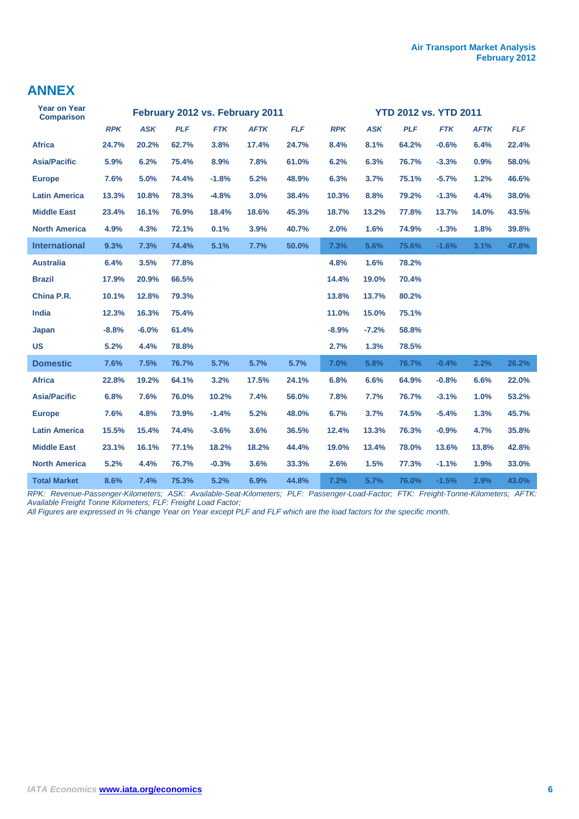## **ANNEX**

| <b>Year on Year</b><br><b>Comparison</b> | February 2012 vs. February 2011 |            |            |            |             | <b>YTD 2012 vs. YTD 2011</b> |            |            |            |            |             |            |  |
|------------------------------------------|---------------------------------|------------|------------|------------|-------------|------------------------------|------------|------------|------------|------------|-------------|------------|--|
|                                          | <b>RPK</b>                      | <b>ASK</b> | <b>PLF</b> | <b>FTK</b> | <b>AFTK</b> | <b>FLF</b>                   | <b>RPK</b> | <b>ASK</b> | <b>PLF</b> | <b>FTK</b> | <b>AFTK</b> | <b>FLF</b> |  |
| <b>Africa</b>                            | 24.7%                           | 20.2%      | 62.7%      | 3.8%       | 17.4%       | 24.7%                        | 8.4%       | 8.1%       | 64.2%      | $-0.6%$    | 6.4%        | 22.4%      |  |
| <b>Asia/Pacific</b>                      | 5.9%                            | 6.2%       | 75.4%      | 8.9%       | 7.8%        | 61.0%                        | 6.2%       | 6.3%       | 76.7%      | $-3.3%$    | 0.9%        | 58.0%      |  |
| <b>Europe</b>                            | 7.6%                            | 5.0%       | 74.4%      | $-1.8%$    | 5.2%        | 48.9%                        | 6.3%       | 3.7%       | 75.1%      | $-5.7%$    | 1.2%        | 46.6%      |  |
| <b>Latin America</b>                     | 13.3%                           | 10.8%      | 78.3%      | $-4.8%$    | 3.0%        | 38.4%                        | 10.3%      | 8.8%       | 79.2%      | $-1.3%$    | 4.4%        | 38.0%      |  |
| <b>Middle East</b>                       | 23.4%                           | 16.1%      | 76.9%      | 18.4%      | 18.6%       | 45.3%                        | 18.7%      | 13.2%      | 77.8%      | 13.7%      | 14.0%       | 43.5%      |  |
| <b>North America</b>                     | 4.9%                            | 4.3%       | 72.1%      | 0.1%       | 3.9%        | 40.7%                        | 2.0%       | 1.6%       | 74.9%      | $-1.3%$    | 1.8%        | 39.8%      |  |
| <b>International</b>                     | 9.3%                            | 7.3%       | 74.4%      | 5.1%       | 7.7%        | 50.0%                        | 7.3%       | 5.6%       | 75.6%      | $-1.6%$    | 3.1%        | 47.8%      |  |
| <b>Australia</b>                         | 6.4%                            | 3.5%       | 77.8%      |            |             |                              | 4.8%       | 1.6%       | 78.2%      |            |             |            |  |
| <b>Brazil</b>                            | 17.9%                           | 20.9%      | 66.5%      |            |             |                              | 14.4%      | 19.0%      | 70.4%      |            |             |            |  |
| China P.R.                               | 10.1%                           | 12.8%      | 79.3%      |            |             |                              | 13.8%      | 13.7%      | 80.2%      |            |             |            |  |
| India                                    | 12.3%                           | 16.3%      | 75.4%      |            |             |                              | 11.0%      | 15.0%      | 75.1%      |            |             |            |  |
| <b>Japan</b>                             | $-8.8%$                         | $-6.0%$    | 61.4%      |            |             |                              | $-8.9%$    | $-7.2%$    | 58.8%      |            |             |            |  |
| <b>US</b>                                | 5.2%                            | 4.4%       | 78.8%      |            |             |                              | 2.7%       | 1.3%       | 78.5%      |            |             |            |  |
| <b>Domestic</b>                          | 7.6%                            | 7.5%       | 76.7%      | 5.7%       | 5.7%        | 5.7%                         | 7.0%       | 5.8%       | 76.7%      | $-0.4%$    | 2.2%        | 26.2%      |  |
| <b>Africa</b>                            | 22.8%                           | 19.2%      | 64.1%      | 3.2%       | 17.5%       | 24.1%                        | 6.8%       | 6.6%       | 64.9%      | $-0.8%$    | 6.6%        | 22.0%      |  |
| <b>Asia/Pacific</b>                      | 6.8%                            | 7.6%       | 76.0%      | 10.2%      | 7.4%        | 56.0%                        | 7.8%       | 7.7%       | 76.7%      | $-3.1%$    | 1.0%        | 53.2%      |  |
| <b>Europe</b>                            | 7.6%                            | 4.8%       | 73.9%      | $-1.4%$    | 5.2%        | 48.0%                        | 6.7%       | 3.7%       | 74.5%      | $-5.4%$    | 1.3%        | 45.7%      |  |
| <b>Latin America</b>                     | 15.5%                           | 15.4%      | 74.4%      | $-3.6%$    | 3.6%        | 36.5%                        | 12.4%      | 13.3%      | 76.3%      | $-0.9%$    | 4.7%        | 35.8%      |  |
| <b>Middle East</b>                       | 23.1%                           | 16.1%      | 77.1%      | 18.2%      | 18.2%       | 44.4%                        | 19.0%      | 13.4%      | 78.0%      | 13.6%      | 13.8%       | 42.8%      |  |
| <b>North America</b>                     | 5.2%                            | 4.4%       | 76.7%      | $-0.3%$    | 3.6%        | 33.3%                        | 2.6%       | 1.5%       | 77.3%      | $-1.1%$    | 1.9%        | 33.0%      |  |
| <b>Total Market</b>                      | 8.6%                            | 7.4%       | 75.3%      | 5.2%       | 6.9%        | 44.8%                        | 7.2%       | 5.7%       | 76.0%      | $-1.5%$    | 2.9%        | 43.0%      |  |

*RPK: Revenue-Passenger-Kilometers; ASK: Available-Seat-Kilometers; PLF: Passenger-Load-Factor; FTK: Freight-Tonne-Kilometers; AFTK: Available Freight Tonne Kilometers; FLF: Freight Load Factor;* 

*All Figures are expressed in % change Year on Year except PLF and FLF which are the load factors for the specific month.*